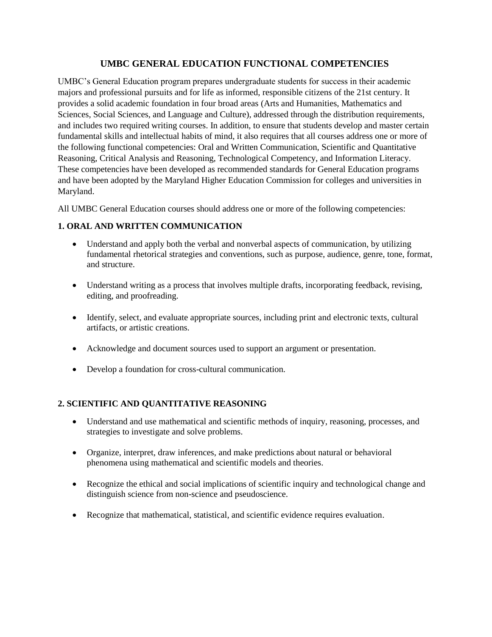# **UMBC GENERAL EDUCATION FUNCTIONAL COMPETENCIES.**

UMBC's General Education program prepares undergraduate students for success in their academic majors and professional pursuits and for life as informed, responsible citizens of the 21st century. It provides a solid academic foundation in four broad areas (Arts and Humanities, Mathematics and Sciences, Social Sciences, and Language and Culture), addressed through the distribution requirements, and includes two required writing courses. In addition, to ensure that students develop and master certain fundamental skills and intellectual habits of mind, it also requires that all courses address one or more of the following functional competencies: Oral and Written Communication, Scientific and Quantitative Reasoning, Critical Analysis and Reasoning, Technological Competency, and Information Literacy. These competencies have been developed as recommended standards for General Education programs and have been adopted by the Maryland Higher Education Commission for colleges and universities in Maryland.

All UMBC General Education courses should address one or more of the following competencies:

# **1. ORAL AND WRITTEN COMMUNICATION.**

- Understand and apply both the verbal and nonverbal aspects of communication, by utilizing fundamental rhetorical strategies and conventions, such as purpose, audience, genre, tone, format, and structure.
- Understand writing as a process that involves multiple drafts, incorporating feedback, revising, editing, and proofreading.
- Identify, select, and evaluate appropriate sources, including print and electronic texts, cultural artifacts, or artistic creations.
- Acknowledge and document sources used to support an argument or presentation.
- Develop a foundation for cross-cultural communication.

## **2. SCIENTIFIC AND QUANTITATIVE REASONING.**

- Understand and use mathematical and scientific methods of inquiry, reasoning, processes, and strategies to investigate and solve problems.
- Organize, interpret, draw inferences, and make predictions about natural or behavioral phenomena using mathematical and scientific models and theories.
- Recognize the ethical and social implications of scientific inquiry and technological change and distinguish science from non-science and pseudoscience.
- Recognize that mathematical, statistical, and scientific evidence requires evaluation.